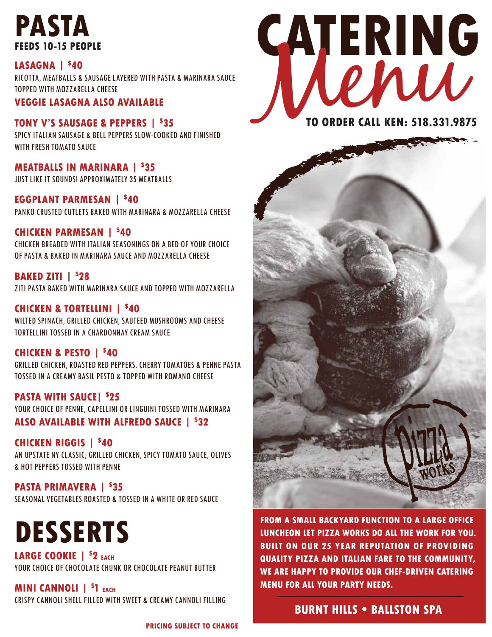# **PASTA FEEDS 10-15 PEOPLE**

**LASAGNA | \$ 40** RICOTTA, MEATBALLS & SAUSAGE LAYERED WITH PASTA & MARINARA SAUCE TOPPED WITH MOZZARELLA CHEESE

**VEGGIE LASAGNA ALSO AVAILABLE**

**TONY V'S SAUSAGE & PEPPERS | \$ 35** SPICY ITALIAN SAUSAGE & BELL PEPPERS SLOW-COOKED AND FINISHED WITH FRESH TOMATO SAUCE

**MEATBALLS IN MARINARA | \$ 35** JUST LIKE IT SOUNDS! APPROXIMATELY 35 MEATBALLS

**EGGPLANT PARMESAN | \$ 40** PANKO CRUSTED CUTLETS BAKED WITH MARINARA & MOZZARELLA CHEESE

# **CHICKEN PARMESAN | \$ 40**

CHICKEN BREADED WITH ITALIAN SEASONINGS ON A BED OF YOUR CHOICE OF PASTA & BAKED IN MARINARA SAUCE AND MOZZARELLA CHEESE

# **BAKED ZITI | \$ 28**

ZITI PASTA BAKED WITH MARINARA SAUCE AND TOPPED WITH MOZZARELLA

### **CHICKEN & TORTELLINI | \$ 40**

WILTED SPINACH, GRILLED CHICKEN, SAUTEED MUSHROOMS AND CHEESE TORTELLINI TOSSED IN A CHARDONNAY CREAM SAUCE

### **CHICKEN & PESTO | \$ 40**

GRILLED CHICKEN, ROASTED RED PEPPERS, CHERRY TOMATOES & PENNE PASTA TOSSED IN A CREAMY BASIL PESTO & TOPPED WITH ROMANO CHEESE

**PASTA WITH SAUCE| \$ 25** YOUR CHOICE OF PENNE, CAPELLINI OR LINGUINI TOSSED WITH MARINARA **ALSO AVAILABLE WITH ALFREDO SAUCE | \$ 32**

**CHICKEN RIGGIS | \$ 40** AN UPSTATE NY CLASSIC; GRILLED CHICKEN, SPICY TOMATO SAUCE, OLIVES & HOT PEPPERS TOSSED WITH PENNE

**PASTA PRIMAVERA | \$ 35** SEASONAL VEGETABLES ROASTED & TOSSED IN A WHITE OR RED SAUCE

# **DESSERTS**

**LARGE COOKIE | \$ 2 EACH** YOUR CHOICE OF CHOCOLATE CHUNK OR CHOCOLATE PEANUT BUTTER

**MINI CANNOLI | \$ 1 EACH** CRISPY CANNOLI SHELL FILLED WITH SWEET & CREAMY CANNOLI FILLING

**PRICING SUBJECT TO CHANGE**





**FROM A SMALL BACKYARD FUNCTION TO A LARGE OFFICE LUNCHEON LET PIZZA WORKS DO ALL THE WORK FOR YOU. BUILT ON OUR 25 YEAR REPUTATION OF PROVIDING QUALITY PIZZA AND ITALIAN FARE TO THE COMMUNITY, WE ARE HAPPY TO PROVIDE OUR CHEF-DRIVEN CATERING MENU FOR ALL YOUR PARTY NEEDS.**

# **BURNT HILLS • BALLSTON SPA**